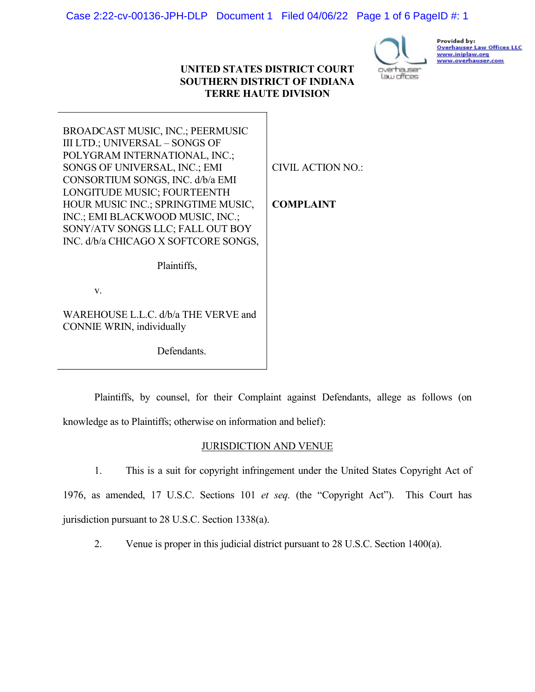### Case 2:22-cv-00136-JPH-DLP Document 1 Filed 04/06/22 Page 1 of 6 PageID #: 1

### UNITED STATES DISTRICT COURT SOUTHERN DISTRICT OF INDIANA TERRE HAUTE DIVISION



Provided by: Overhauser Law Offices LLC www.iniplaw.org www.overhauser.com

BROADCAST MUSIC, INC.; PEERMUSIC III LTD.; UNIVERSAL – SONGS OF POLYGRAM INTERNATIONAL, INC.; SONGS OF UNIVERSAL, INC.; EMI CONSORTIUM SONGS, INC. d/b/a EMI LONGITUDE MUSIC; FOURTEENTH HOUR MUSIC INC.; SPRINGTIME MUSIC, INC.; EMI BLACKWOOD MUSIC, INC.; SONY/ATV SONGS LLC; FALL OUT BOY INC. d/b/a CHICAGO X SOFTCORE SONGS,

CIVIL ACTION NO.:

COMPLAINT

Plaintiffs,

v.

WAREHOUSE L.L.C. d/b/a THE VERVE and CONNIE WRIN, individually

Defendants.

Plaintiffs, by counsel, for their Complaint against Defendants, allege as follows (on knowledge as to Plaintiffs; otherwise on information and belief):

### JURISDICTION AND VENUE

1. This is a suit for copyright infringement under the United States Copyright Act of

1976, as amended, 17 U.S.C. Sections 101 et seq. (the "Copyright Act"). This Court has jurisdiction pursuant to 28 U.S.C. Section 1338(a).

2. Venue is proper in this judicial district pursuant to 28 U.S.C. Section 1400(a).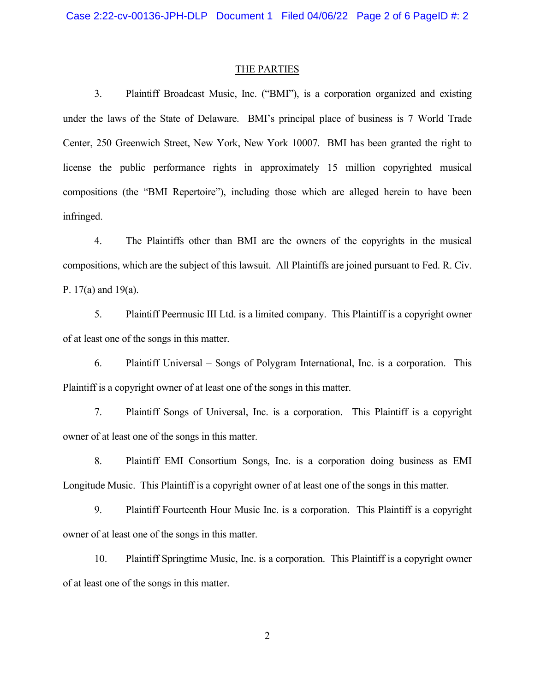#### THE PARTIES

3. Plaintiff Broadcast Music, Inc. ("BMI"), is a corporation organized and existing under the laws of the State of Delaware. BMI's principal place of business is 7 World Trade Center, 250 Greenwich Street, New York, New York 10007. BMI has been granted the right to license the public performance rights in approximately 15 million copyrighted musical compositions (the "BMI Repertoire"), including those which are alleged herein to have been infringed.

4. The Plaintiffs other than BMI are the owners of the copyrights in the musical compositions, which are the subject of this lawsuit. All Plaintiffs are joined pursuant to Fed. R. Civ. P. 17(a) and 19(a).

5. Plaintiff Peermusic III Ltd. is a limited company. This Plaintiff is a copyright owner of at least one of the songs in this matter.

6. Plaintiff Universal – Songs of Polygram International, Inc. is a corporation. This Plaintiff is a copyright owner of at least one of the songs in this matter.

7. Plaintiff Songs of Universal, Inc. is a corporation. This Plaintiff is a copyright owner of at least one of the songs in this matter.

8. Plaintiff EMI Consortium Songs, Inc. is a corporation doing business as EMI Longitude Music. This Plaintiff is a copyright owner of at least one of the songs in this matter.

9. Plaintiff Fourteenth Hour Music Inc. is a corporation. This Plaintiff is a copyright owner of at least one of the songs in this matter.

10. Plaintiff Springtime Music, Inc. is a corporation. This Plaintiff is a copyright owner of at least one of the songs in this matter.

2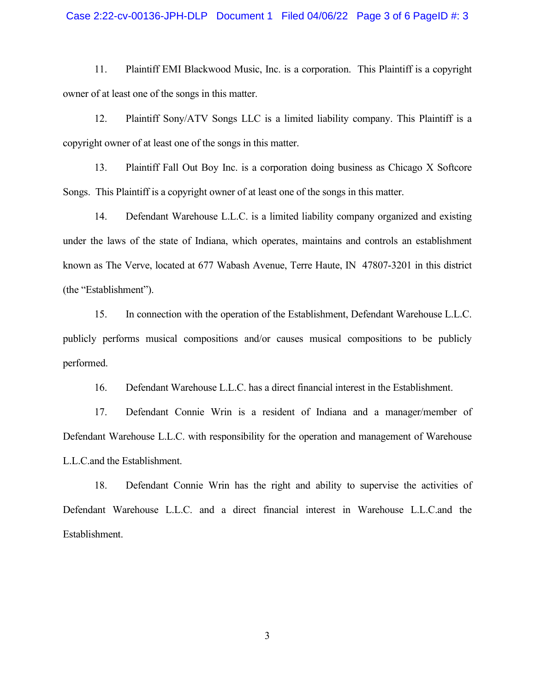# Case 2:22-cv-00136-JPH-DLP Document 1 Filed 04/06/22 Page 3 of 6 PageID #: 3

11. Plaintiff EMI Blackwood Music, Inc. is a corporation. This Plaintiff is a copyright owner of at least one of the songs in this matter.

12. Plaintiff Sony/ATV Songs LLC is a limited liability company. This Plaintiff is a copyright owner of at least one of the songs in this matter.

13. Plaintiff Fall Out Boy Inc. is a corporation doing business as Chicago X Softcore Songs. This Plaintiff is a copyright owner of at least one of the songs in this matter.

14. Defendant Warehouse L.L.C. is a limited liability company organized and existing under the laws of the state of Indiana, which operates, maintains and controls an establishment known as The Verve, located at 677 Wabash Avenue, Terre Haute, IN 47807-3201 in this district (the "Establishment").

15. In connection with the operation of the Establishment, Defendant Warehouse L.L.C. publicly performs musical compositions and/or causes musical compositions to be publicly performed.

16. Defendant Warehouse L.L.C. has a direct financial interest in the Establishment.

17. Defendant Connie Wrin is a resident of Indiana and a manager/member of Defendant Warehouse L.L.C. with responsibility for the operation and management of Warehouse L.L.C.and the Establishment.

18. Defendant Connie Wrin has the right and ability to supervise the activities of Defendant Warehouse L.L.C. and a direct financial interest in Warehouse L.L.C.and the Establishment.

3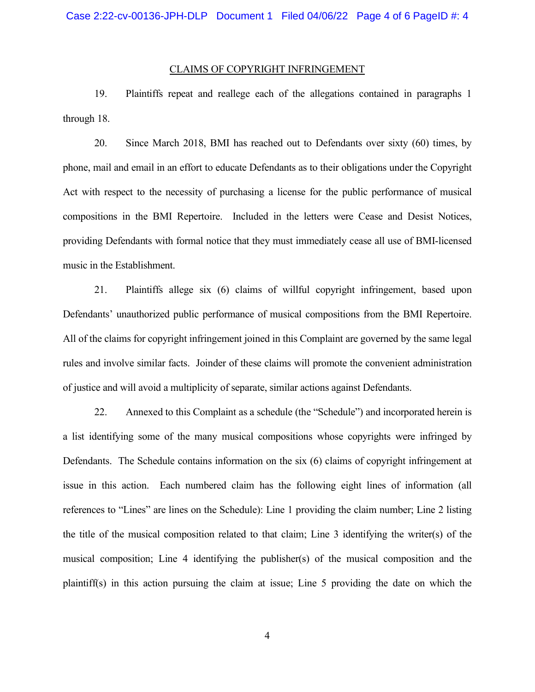#### CLAIMS OF COPYRIGHT INFRINGEMENT

19. Plaintiffs repeat and reallege each of the allegations contained in paragraphs 1 through 18.

20. Since March 2018, BMI has reached out to Defendants over sixty (60) times, by phone, mail and email in an effort to educate Defendants as to their obligations under the Copyright Act with respect to the necessity of purchasing a license for the public performance of musical compositions in the BMI Repertoire. Included in the letters were Cease and Desist Notices, providing Defendants with formal notice that they must immediately cease all use of BMI-licensed music in the Establishment.

21. Plaintiffs allege six (6) claims of willful copyright infringement, based upon Defendants' unauthorized public performance of musical compositions from the BMI Repertoire. All of the claims for copyright infringement joined in this Complaint are governed by the same legal rules and involve similar facts. Joinder of these claims will promote the convenient administration of justice and will avoid a multiplicity of separate, similar actions against Defendants.

22. Annexed to this Complaint as a schedule (the "Schedule") and incorporated herein is a list identifying some of the many musical compositions whose copyrights were infringed by Defendants. The Schedule contains information on the six (6) claims of copyright infringement at issue in this action. Each numbered claim has the following eight lines of information (all references to "Lines" are lines on the Schedule): Line 1 providing the claim number; Line 2 listing the title of the musical composition related to that claim; Line 3 identifying the writer(s) of the musical composition; Line 4 identifying the publisher(s) of the musical composition and the plaintiff(s) in this action pursuing the claim at issue; Line 5 providing the date on which the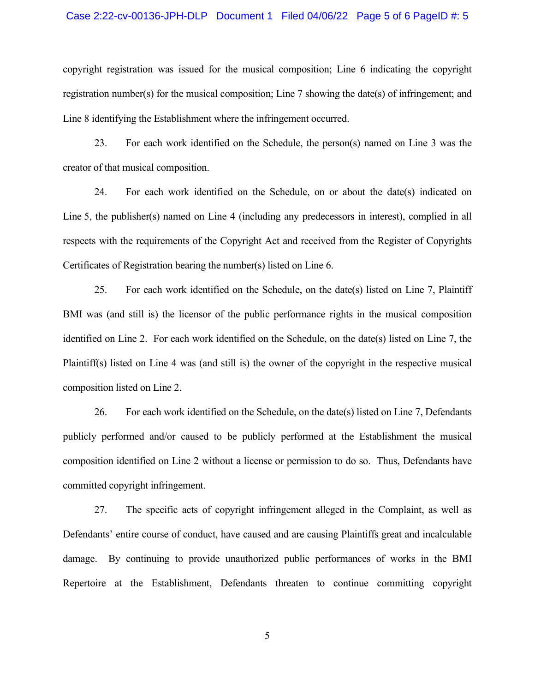#### Case 2:22-cv-00136-JPH-DLP Document 1 Filed 04/06/22 Page 5 of 6 PageID #: 5

copyright registration was issued for the musical composition; Line 6 indicating the copyright registration number(s) for the musical composition; Line 7 showing the date(s) of infringement; and Line 8 identifying the Establishment where the infringement occurred.

23. For each work identified on the Schedule, the person(s) named on Line 3 was the creator of that musical composition.

24. For each work identified on the Schedule, on or about the date(s) indicated on Line 5, the publisher(s) named on Line 4 (including any predecessors in interest), complied in all respects with the requirements of the Copyright Act and received from the Register of Copyrights Certificates of Registration bearing the number(s) listed on Line 6.

25. For each work identified on the Schedule, on the date(s) listed on Line 7, Plaintiff BMI was (and still is) the licensor of the public performance rights in the musical composition identified on Line 2. For each work identified on the Schedule, on the date(s) listed on Line 7, the Plaintiff(s) listed on Line 4 was (and still is) the owner of the copyright in the respective musical composition listed on Line 2.

26. For each work identified on the Schedule, on the date(s) listed on Line 7, Defendants publicly performed and/or caused to be publicly performed at the Establishment the musical composition identified on Line 2 without a license or permission to do so. Thus, Defendants have committed copyright infringement.

27. The specific acts of copyright infringement alleged in the Complaint, as well as Defendants' entire course of conduct, have caused and are causing Plaintiffs great and incalculable damage. By continuing to provide unauthorized public performances of works in the BMI Repertoire at the Establishment, Defendants threaten to continue committing copyright

5